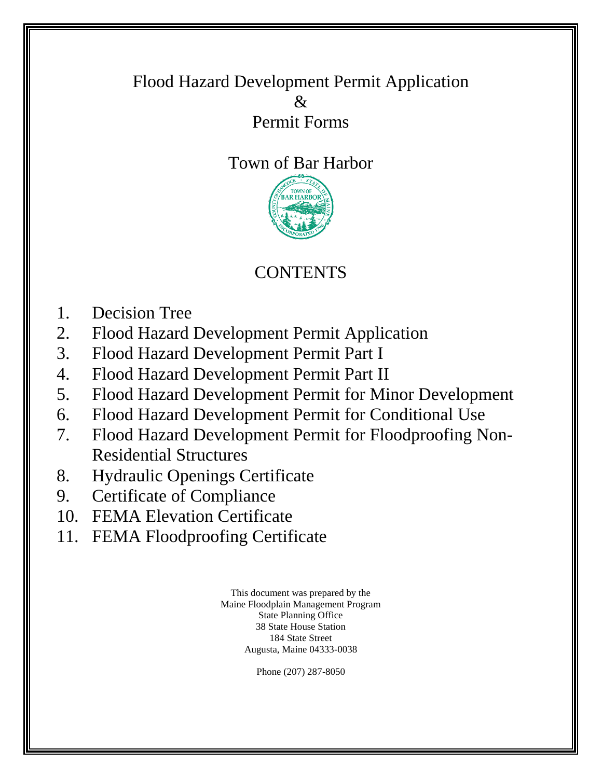### Flood Hazard Development Permit Application & Permit Forms

# Town of Bar Harbor



# **CONTENTS**

- 1. Decision Tree
- 2. Flood Hazard Development Permit Application
- 3. Flood Hazard Development Permit Part I
- 4. Flood Hazard Development Permit Part II
- 5. Flood Hazard Development Permit for Minor Development
- 6. Flood Hazard Development Permit for Conditional Use
- 7. Flood Hazard Development Permit for Floodproofing Non-Residential Structures
- 8. Hydraulic Openings Certificate
- 9. Certificate of Compliance
- 10. FEMA Elevation Certificate
- 11. FEMA Floodproofing Certificate

This document was prepared by the Maine Floodplain Management Program State Planning Office 38 State House Station 184 State Street Augusta, Maine 04333-0038

Phone (207) 287-8050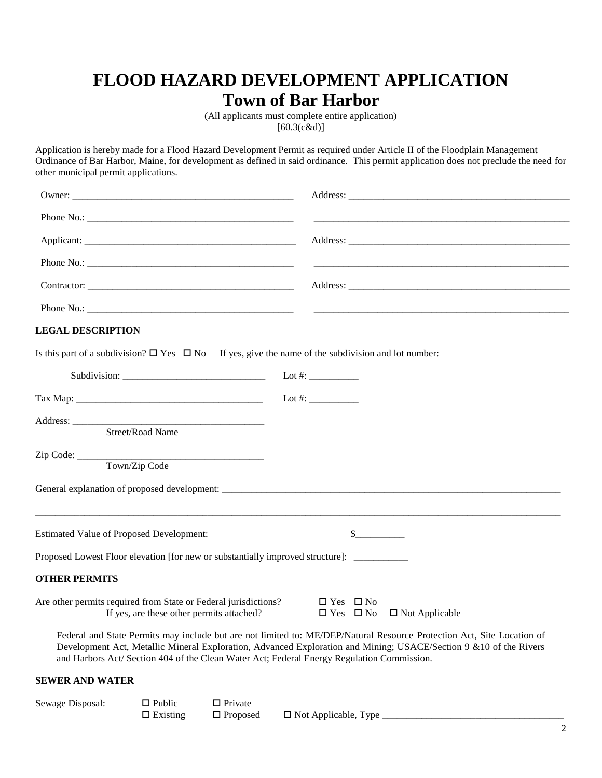### **FLOOD HAZARD DEVELOPMENT APPLICATION Town of Bar Harbor**

(All applicants must complete entire application) [60.3(c&d)]

Application is hereby made for a Flood Hazard Development Permit as required under Article II of the Floodplain Management Ordinance of Bar Harbor, Maine, for development as defined in said ordinance. This permit application does not preclude the need for other municipal permit applications.

|                                                                                                                                                           | Address:                                                                                                                                                                                                                                     |
|-----------------------------------------------------------------------------------------------------------------------------------------------------------|----------------------------------------------------------------------------------------------------------------------------------------------------------------------------------------------------------------------------------------------|
|                                                                                                                                                           |                                                                                                                                                                                                                                              |
|                                                                                                                                                           |                                                                                                                                                                                                                                              |
|                                                                                                                                                           |                                                                                                                                                                                                                                              |
| <b>LEGAL DESCRIPTION</b>                                                                                                                                  |                                                                                                                                                                                                                                              |
| Is this part of a subdivision? $\Box$ Yes $\Box$ No If yes, give the name of the subdivision and lot number:                                              |                                                                                                                                                                                                                                              |
|                                                                                                                                                           | Lot #: $\frac{1}{2}$                                                                                                                                                                                                                         |
|                                                                                                                                                           | Lot #: $\frac{1}{2}$                                                                                                                                                                                                                         |
| Street/Road Name                                                                                                                                          |                                                                                                                                                                                                                                              |
| Town/Zip Code                                                                                                                                             | General explanation of proposed development:                                                                                                                                                                                                 |
|                                                                                                                                                           |                                                                                                                                                                                                                                              |
| <b>Estimated Value of Proposed Development:</b>                                                                                                           | $\frac{\text{S}}{\text{S}}$                                                                                                                                                                                                                  |
| Proposed Lowest Floor elevation [for new or substantially improved structure]:                                                                            |                                                                                                                                                                                                                                              |
| <b>OTHER PERMITS</b>                                                                                                                                      |                                                                                                                                                                                                                                              |
| Are other permits required from State or Federal jurisdictions?<br>If yes, are these other permits attached?<br>If yes, are these other permits attached? | $\Box$ Yes $\Box$ No<br>$\Box$ Yes $\Box$ No $\Box$ Not Applicable                                                                                                                                                                           |
| and Harbors Act/ Section 404 of the Clean Water Act; Federal Energy Regulation Commission.                                                                | Federal and State Permits may include but are not limited to: ME/DEP/Natural Resource Protection Act, Site Location of<br>Development Act, Metallic Mineral Exploration, Advanced Exploration and Mining; USACE/Section 9 & 10 of the Rivers |
| <b>SEWER AND WATER</b>                                                                                                                                    |                                                                                                                                                                                                                                              |
|                                                                                                                                                           |                                                                                                                                                                                                                                              |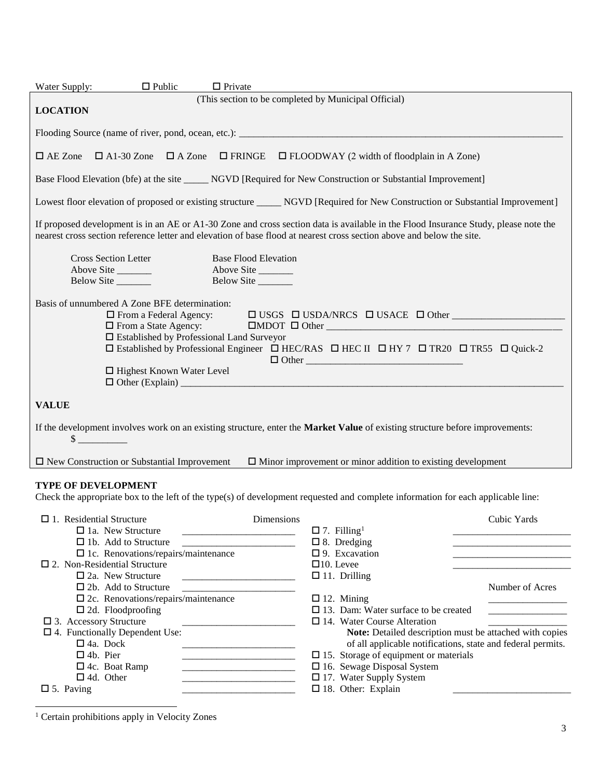| $\Box$ Public<br>Water Supply:                                                                                                                                                                                                                                                                                                                                                                                                                 | $\Box$ Private                                                                                                                                                                                                                                                                                                                                                                                                                                                                                                                                                                                                                                                                |  |  |  |  |
|------------------------------------------------------------------------------------------------------------------------------------------------------------------------------------------------------------------------------------------------------------------------------------------------------------------------------------------------------------------------------------------------------------------------------------------------|-------------------------------------------------------------------------------------------------------------------------------------------------------------------------------------------------------------------------------------------------------------------------------------------------------------------------------------------------------------------------------------------------------------------------------------------------------------------------------------------------------------------------------------------------------------------------------------------------------------------------------------------------------------------------------|--|--|--|--|
| <b>LOCATION</b>                                                                                                                                                                                                                                                                                                                                                                                                                                | (This section to be completed by Municipal Official)                                                                                                                                                                                                                                                                                                                                                                                                                                                                                                                                                                                                                          |  |  |  |  |
|                                                                                                                                                                                                                                                                                                                                                                                                                                                |                                                                                                                                                                                                                                                                                                                                                                                                                                                                                                                                                                                                                                                                               |  |  |  |  |
| $\Box$ AE Zone                                                                                                                                                                                                                                                                                                                                                                                                                                 | $\Box$ A1-30 Zone $\Box$ A Zone $\Box$ FRINGE $\Box$ FLOODWAY (2 width of floodplain in A Zone)                                                                                                                                                                                                                                                                                                                                                                                                                                                                                                                                                                               |  |  |  |  |
|                                                                                                                                                                                                                                                                                                                                                                                                                                                | Base Flood Elevation (bfe) at the site ______ NGVD [Required for New Construction or Substantial Improvement]                                                                                                                                                                                                                                                                                                                                                                                                                                                                                                                                                                 |  |  |  |  |
|                                                                                                                                                                                                                                                                                                                                                                                                                                                | Lowest floor elevation of proposed or existing structure _____ NGVD [Required for New Construction or Substantial Improvement]                                                                                                                                                                                                                                                                                                                                                                                                                                                                                                                                                |  |  |  |  |
|                                                                                                                                                                                                                                                                                                                                                                                                                                                | If proposed development is in an AE or A1-30 Zone and cross section data is available in the Flood Insurance Study, please note the<br>nearest cross section reference letter and elevation of base flood at nearest cross section above and below the site.                                                                                                                                                                                                                                                                                                                                                                                                                  |  |  |  |  |
| <b>Cross Section Letter</b><br>Above Site<br>Below Site                                                                                                                                                                                                                                                                                                                                                                                        | <b>Base Flood Elevation</b><br>Above Site<br>Below Site                                                                                                                                                                                                                                                                                                                                                                                                                                                                                                                                                                                                                       |  |  |  |  |
| Basis of unnumbered A Zone BFE determination:<br>$\Box$ From a Federal Agency:<br>$\Box$ USGS $\Box$ USDA/NRCS $\Box$ USACE $\Box$ Other<br>$\Box$ From a State Agency:<br>$\Box \text{MDOT} \quad \Box \text{ Other} \underline{\hspace{2cm}}$<br>□ Established by Professional Land Surveyor<br>□ Established by Professional Engineer □ HEC/RAS □ HEC II □ HY 7 □ TR20 □ TR55 □ Quick-2<br>$\Box$ Other<br>$\Box$ Highest Known Water Level |                                                                                                                                                                                                                                                                                                                                                                                                                                                                                                                                                                                                                                                                               |  |  |  |  |
| <b>VALUE</b>                                                                                                                                                                                                                                                                                                                                                                                                                                   |                                                                                                                                                                                                                                                                                                                                                                                                                                                                                                                                                                                                                                                                               |  |  |  |  |
| If the development involves work on an existing structure, enter the Market Value of existing structure before improvements:<br>$\sim$                                                                                                                                                                                                                                                                                                         |                                                                                                                                                                                                                                                                                                                                                                                                                                                                                                                                                                                                                                                                               |  |  |  |  |
| $\Box$ New Construction or Substantial Improvement                                                                                                                                                                                                                                                                                                                                                                                             | $\Box$ Minor improvement or minor addition to existing development                                                                                                                                                                                                                                                                                                                                                                                                                                                                                                                                                                                                            |  |  |  |  |
| <b>TYPE OF DEVELOPMENT</b><br>Check the appropriate box to the left of the type(s) of development requested and complete information for each applicable line:                                                                                                                                                                                                                                                                                 |                                                                                                                                                                                                                                                                                                                                                                                                                                                                                                                                                                                                                                                                               |  |  |  |  |
| $\Box$ 1. Residential Structure<br>$\Box$ 1a. New Structure<br>$\Box$ 1b. Add to Structure<br>$\Box$ 1c. Renovations/repairs/maintenance<br>$\square$ 2. Non-Residential Structure                                                                                                                                                                                                                                                             | Cubic Yards<br>Dimensions<br>$\Box$ 7. Filling <sup>1</sup><br>$\Box$ 8. Dredging<br>the control of the control of the control of the control of the control of<br>$\square$ 9. Excavation<br>$\square$ 10. Levee                                                                                                                                                                                                                                                                                                                                                                                                                                                             |  |  |  |  |
| $\square$ 2a. New Structure<br>$\Box$ 2b. Add to Structure<br>$\square$ 2c. Renovations/repairs/maintenance                                                                                                                                                                                                                                                                                                                                    | $\Box$ 11. Drilling<br>Number of Acres<br>$\Box$ 12. Mining                                                                                                                                                                                                                                                                                                                                                                                                                                                                                                                                                                                                                   |  |  |  |  |
| $\Box$ 2d. Floodproofing<br>$\square$ 3. Accessory Structure<br>$\square$ 4. Functionally Dependent Use:<br>$\Box$ 4a. Dock<br>$\Box$ 4b. Pier<br>$\Box$ 4c. Boat Ramp<br>$\Box$ 4d. Other<br>$\square$ 5. Paving                                                                                                                                                                                                                              | $\Box$ 13. Dam: Water surface to be created<br>$\Box$ 14. Water Course Alteration<br>Note: Detailed description must be attached with copies<br>of all applicable notifications, state and federal permits.<br><u> 1989 - Johann Barbara, martin da kasar Indonesia.</u><br>$\Box$ 15. Storage of equipment or materials<br>$\Box$ 16. Sewage Disposal System<br><u> 1989 - Johann Barbara, martxa alemaniar a</u><br>□ 17. Water Supply System<br><u> 1980 - Johann John Stone, mars eta biztanleria (h. 1980).</u><br>$\square$ 18. Other: Explain<br><u> 1980 - Johann Barbara, martin da basar da basar da basar da basar da basar da basar da basar da basar da basa</u> |  |  |  |  |
|                                                                                                                                                                                                                                                                                                                                                                                                                                                |                                                                                                                                                                                                                                                                                                                                                                                                                                                                                                                                                                                                                                                                               |  |  |  |  |

<sup>&</sup>lt;sup>1</sup> Certain prohibitions apply in Velocity Zones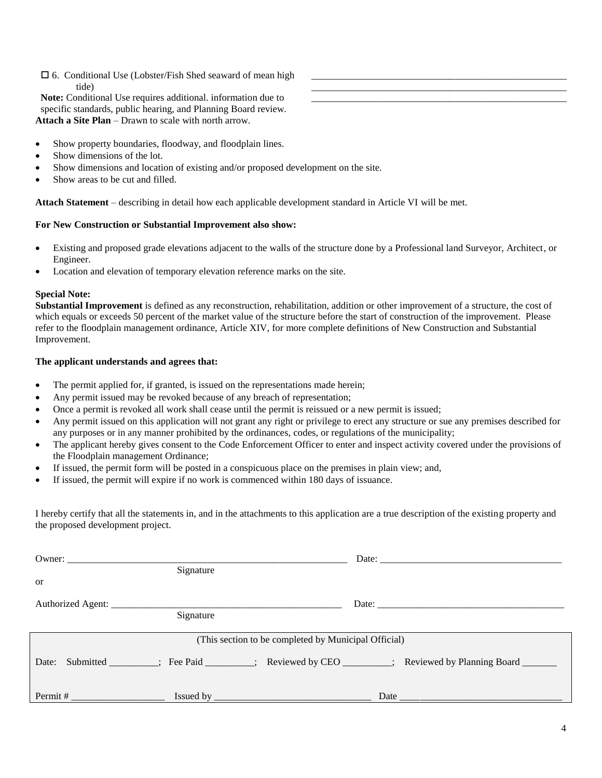#### 6. Conditional Use (Lobster/Fish Shed seaward of mean high tide)

**Note:** Conditional Use requires additional. information due to specific standards, public hearing, and Planning Board review. **Attach a Site Plan** – Drawn to scale with north arrow.

- Show property boundaries, floodway, and floodplain lines.
- Show dimensions of the lot.
- Show dimensions and location of existing and/or proposed development on the site.
- Show areas to be cut and filled.

**Attach Statement** – describing in detail how each applicable development standard in Article VI will be met.

#### **For New Construction or Substantial Improvement also show:**

• Existing and proposed grade elevations adjacent to the walls of the structure done by a Professional land Surveyor, Architect, or Engineer.

\_\_\_\_\_\_\_\_\_\_\_\_\_\_\_\_\_\_\_\_\_\_\_\_\_\_\_\_\_\_\_\_\_\_\_\_\_\_\_\_\_\_\_\_\_\_\_\_\_\_\_\_ \_\_\_\_\_\_\_\_\_\_\_\_\_\_\_\_\_\_\_\_\_\_\_\_\_\_\_\_\_\_\_\_\_\_\_\_\_\_\_\_\_\_\_\_\_\_\_\_\_\_\_\_ \_\_\_\_\_\_\_\_\_\_\_\_\_\_\_\_\_\_\_\_\_\_\_\_\_\_\_\_\_\_\_\_\_\_\_\_\_\_\_\_\_\_\_\_\_\_\_\_\_\_\_\_

Location and elevation of temporary elevation reference marks on the site.

#### **Special Note:**

**Substantial Improvement** is defined as any reconstruction, rehabilitation, addition or other improvement of a structure, the cost of which equals or exceeds 50 percent of the market value of the structure before the start of construction of the improvement. Please refer to the floodplain management ordinance, Article XIV, for more complete definitions of New Construction and Substantial Improvement.

#### **The applicant understands and agrees that:**

- The permit applied for, if granted, is issued on the representations made herein;
- Any permit issued may be revoked because of any breach of representation;
- Once a permit is revoked all work shall cease until the permit is reissued or a new permit is issued;
- Any permit issued on this application will not grant any right or privilege to erect any structure or sue any premises described for any purposes or in any manner prohibited by the ordinances, codes, or regulations of the municipality;
- The applicant hereby gives consent to the Code Enforcement Officer to enter and inspect activity covered under the provisions of the Floodplain management Ordinance;
- If issued, the permit form will be posted in a conspicuous place on the premises in plain view; and,
- If issued, the permit will expire if no work is commenced within 180 days of issuance.

I hereby certify that all the statements in, and in the attachments to this application are a true description of the existing property and the proposed development project.

| Owner: $\frac{1}{\sqrt{1-\frac{1}{2}} \cdot \frac{1}{\sqrt{1-\frac{1}{2}} \cdot \frac{1}{\sqrt{1-\frac{1}{2}} \cdot \frac{1}{\sqrt{1-\frac{1}{2}} \cdot \frac{1}{\sqrt{1-\frac{1}{2}} \cdot \frac{1}{\sqrt{1-\frac{1}{2}} \cdot \frac{1}{\sqrt{1-\frac{1}{2}} \cdot \frac{1}{\sqrt{1-\frac{1}{2}} \cdot \frac{1}{\sqrt{1-\frac{1}{2}} \cdot \frac{1}{\sqrt{1-\frac{1}{2}} \cdot \frac{1}{\sqrt{1-\frac{1}{2}} \cdot \frac{1}{\sqrt{1-\frac{1}{2$ |           |                                                                                                         |  |  |
|--------------------------------------------------------------------------------------------------------------------------------------------------------------------------------------------------------------------------------------------------------------------------------------------------------------------------------------------------------------------------------------------------------------------------------------------------|-----------|---------------------------------------------------------------------------------------------------------|--|--|
|                                                                                                                                                                                                                                                                                                                                                                                                                                                  | Signature |                                                                                                         |  |  |
| <sub>or</sub>                                                                                                                                                                                                                                                                                                                                                                                                                                    |           |                                                                                                         |  |  |
|                                                                                                                                                                                                                                                                                                                                                                                                                                                  | Signature |                                                                                                         |  |  |
| (This section to be completed by Municipal Official)                                                                                                                                                                                                                                                                                                                                                                                             |           |                                                                                                         |  |  |
|                                                                                                                                                                                                                                                                                                                                                                                                                                                  |           | Date: Submitted ________; Fee Paid _______; Reviewed by CEO _______; Reviewed by Planning Board _______ |  |  |
| $Permit \#$                                                                                                                                                                                                                                                                                                                                                                                                                                      |           |                                                                                                         |  |  |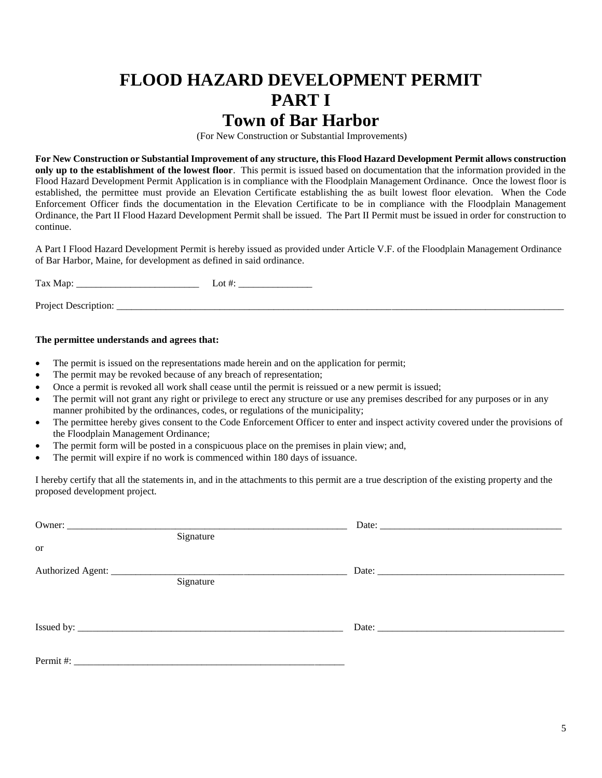### **FLOOD HAZARD DEVELOPMENT PERMIT PART I Town of Bar Harbor**

(For New Construction or Substantial Improvements)

**For New Construction or Substantial Improvement of any structure, this Flood Hazard Development Permit allows construction only up to the establishment of the lowest floor**. This permit is issued based on documentation that the information provided in the Flood Hazard Development Permit Application is in compliance with the Floodplain Management Ordinance. Once the lowest floor is established, the permittee must provide an Elevation Certificate establishing the as built lowest floor elevation. When the Code Enforcement Officer finds the documentation in the Elevation Certificate to be in compliance with the Floodplain Management Ordinance, the Part II Flood Hazard Development Permit shall be issued. The Part II Permit must be issued in order for construction to continue.

A Part I Flood Hazard Development Permit is hereby issued as provided under Article V.F. of the Floodplain Management Ordinance of Bar Harbor, Maine, for development as defined in said ordinance.

Tax Map: \_\_\_\_\_\_\_\_\_\_\_\_\_\_\_\_\_\_\_\_\_\_\_\_\_ Lot #: \_\_\_\_\_\_\_\_\_\_\_\_\_\_\_

Project Description: \_\_\_\_\_\_\_\_\_\_\_\_\_\_\_\_\_\_\_\_\_\_\_\_\_\_\_\_\_\_\_\_\_\_\_\_\_\_\_\_\_\_\_\_\_\_\_\_\_\_\_\_\_\_\_\_\_\_\_\_\_\_\_\_\_\_\_\_\_\_\_\_\_\_\_\_\_\_\_\_\_\_\_\_\_\_\_\_\_\_\_

#### **The permittee understands and agrees that:**

- The permit is issued on the representations made herein and on the application for permit;
- The permit may be revoked because of any breach of representation;
- Once a permit is revoked all work shall cease until the permit is reissued or a new permit is issued;
- The permit will not grant any right or privilege to erect any structure or use any premises described for any purposes or in any manner prohibited by the ordinances, codes, or regulations of the municipality;
- The permittee hereby gives consent to the Code Enforcement Officer to enter and inspect activity covered under the provisions of the Floodplain Management Ordinance;
- The permit form will be posted in a conspicuous place on the premises in plain view; and,
- The permit will expire if no work is commenced within 180 days of issuance.

I hereby certify that all the statements in, and in the attachments to this permit are a true description of the existing property and the proposed development project.

|                                  | Signature |  |
|----------------------------------|-----------|--|
| or                               |           |  |
| Authorized Agent: ______________ |           |  |
|                                  | Signature |  |
|                                  |           |  |
|                                  |           |  |
|                                  |           |  |
|                                  |           |  |
|                                  |           |  |